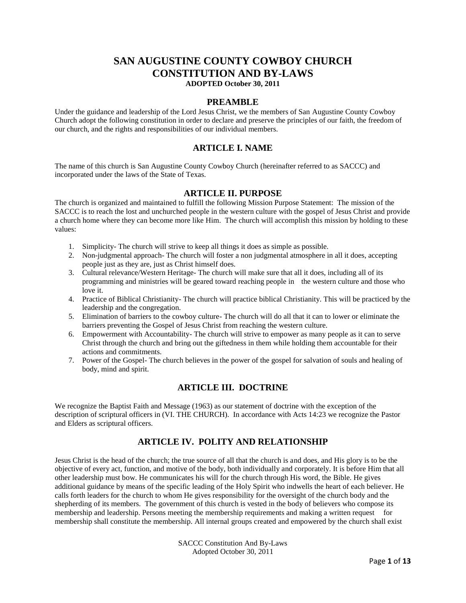# **SAN AUGUSTINE COUNTY COWBOY CHURCH CONSTITUTION AND BY-LAWS ADOPTED October 30, 2011**

#### **PREAMBLE**

Under the guidance and leadership of the Lord Jesus Christ, we the members of San Augustine County Cowboy Church adopt the following constitution in order to declare and preserve the principles of our faith, the freedom of our church, and the rights and responsibilities of our individual members.

### **ARTICLE I. NAME**

The name of this church is San Augustine County Cowboy Church (hereinafter referred to as SACCC) and incorporated under the laws of the State of Texas.

### **ARTICLE II. PURPOSE**

The church is organized and maintained to fulfill the following Mission Purpose Statement: The mission of the SACCC is to reach the lost and unchurched people in the western culture with the gospel of Jesus Christ and provide a church home where they can become more like Him. The church will accomplish this mission by holding to these values:

- 1. Simplicity- The church will strive to keep all things it does as simple as possible.
- 2. Non-judgmental approach- The church will foster a non judgmental atmosphere in all it does, accepting people just as they are, just as Christ himself does.
- 3. Cultural relevance/Western Heritage- The church will make sure that all it does, including all of its programming and ministries will be geared toward reaching people in the western culture and those who love it.
- 4. Practice of Biblical Christianity- The church will practice biblical Christianity. This will be practiced by the leadership and the congregation.
- 5. Elimination of barriers to the cowboy culture- The church will do all that it can to lower or eliminate the barriers preventing the Gospel of Jesus Christ from reaching the western culture.
- 6. Empowerment with Accountability- The church will strive to empower as many people as it can to serve Christ through the church and bring out the giftedness in them while holding them accountable for their actions and commitments.
- 7. Power of the Gospel- The church believes in the power of the gospel for salvation of souls and healing of body, mind and spirit.

## **ARTICLE III. DOCTRINE**

We recognize the Baptist Faith and Message (1963) as our statement of doctrine with the exception of the description of scriptural officers in (VI. THE CHURCH). In accordance with Acts 14:23 we recognize the Pastor and Elders as scriptural officers.

# **ARTICLE IV. POLITY AND RELATIONSHIP**

Jesus Christ is the head of the church; the true source of all that the church is and does, and His glory is to be the objective of every act, function, and motive of the body, both individually and corporately. It is before Him that all other leadership must bow. He communicates his will for the church through His word, the Bible. He gives additional guidance by means of the specific leading of the Holy Spirit who indwells the heart of each believer. He calls forth leaders for the church to whom He gives responsibility for the oversight of the church body and the shepherding of its members. The government of this church is vested in the body of believers who compose its membership and leadership. Persons meeting the membership requirements and making a written request for membership shall constitute the membership. All internal groups created and empowered by the church shall exist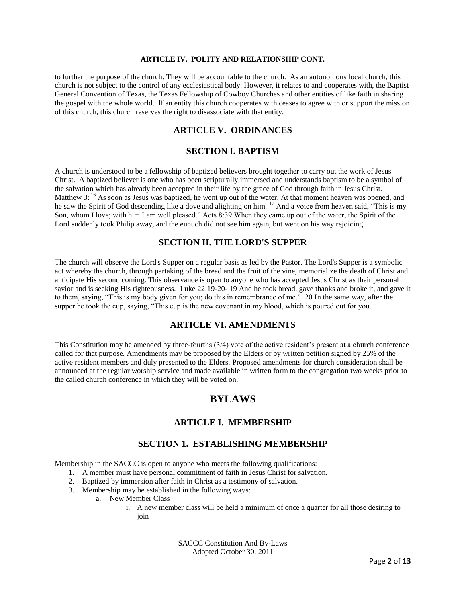#### **ARTICLE IV. POLITY AND RELATIONSHIP CONT.**

to further the purpose of the church. They will be accountable to the church. As an autonomous local church, this church is not subject to the control of any ecclesiastical body. However, it relates to and cooperates with, the Baptist General Convention of Texas, the Texas Fellowship of Cowboy Churches and other entities of like faith in sharing the gospel with the whole world. If an entity this church cooperates with ceases to agree with or support the mission of this church, this church reserves the right to disassociate with that entity.

# **ARTICLE V. ORDINANCES**

### **SECTION I. BAPTISM**

A church is understood to be a fellowship of baptized believers brought together to carry out the work of Jesus Christ. A baptized believer is one who has been scripturally immersed and understands baptism to be a symbol of the salvation which has already been accepted in their life by the grace of God through faith in Jesus Christ. Matthew 3: <sup>16</sup> As soon as Jesus was baptized, he went up out of the water. At that moment heaven was opened, and he saw the Spirit of God descending like a dove and alighting on him. <sup>17</sup> And a voice from heaven said, "This is my Son, whom I love; with him I am well pleased." Acts 8:39 When they came up out of the water, the Spirit of the Lord suddenly took Philip away, and the eunuch did not see him again, but went on his way rejoicing.

### **SECTION II. THE LORD'S SUPPER**

The church will observe the Lord's Supper on a regular basis as led by the Pastor. The Lord's Supper is a symbolic act whereby the church, through partaking of the bread and the fruit of the vine, memorialize the death of Christ and anticipate His second coming. This observance is open to anyone who has accepted Jesus Christ as their personal savior and is seeking His righteousness. Luke 22:19-20- 19 And he took bread, gave thanks and broke it, and gave it to them, saying, "This is my body given for you; do this in remembrance of me." 20 In the same way, after the supper he took the cup, saying, "This cup is the new covenant in my blood, which is poured out for you.

### **ARTICLE VI. AMENDMENTS**

This Constitution may be amended by three-fourths (3/4) vote of the active resident's present at a church conference called for that purpose. Amendments may be proposed by the Elders or by written petition signed by 25% of the active resident members and duly presented to the Elders. Proposed amendments for church consideration shall be announced at the regular worship service and made available in written form to the congregation two weeks prior to the called church conference in which they will be voted on.

# **BYLAWS**

### **ARTICLE I. MEMBERSHIP**

### **SECTION 1. ESTABLISHING MEMBERSHIP**

Membership in the SACCC is open to anyone who meets the following qualifications:

- 1. A member must have personal commitment of faith in Jesus Christ for salvation.
- 2. Baptized by immersion after faith in Christ as a testimony of salvation.
- 3. Membership may be established in the following ways:
	- a. New Member Class
		- i. A new member class will be held a minimum of once a quarter for all those desiring to join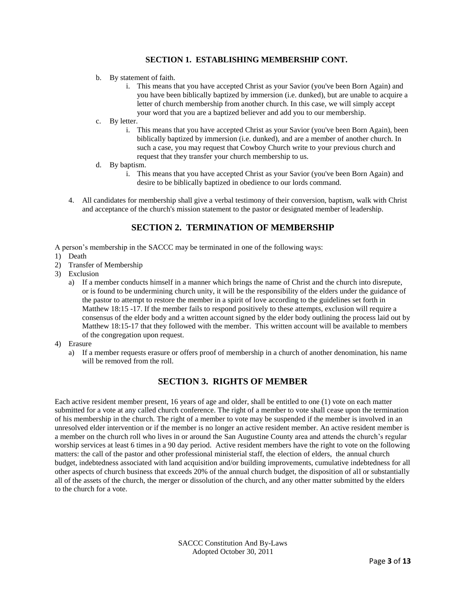### **SECTION 1. ESTABLISHING MEMBERSHIP CONT.**

- b. By statement of faith.
	- i. This means that you have accepted Christ as your Savior (you've been Born Again) and you have been biblically baptized by immersion (i.e. dunked), but are unable to acquire a letter of church membership from another church. In this case, we will simply accept your word that you are a baptized believer and add you to our membership.
- c. By letter.
	- i. This means that you have accepted Christ as your Savior (you've been Born Again), been biblically baptized by immersion (i.e. dunked), and are a member of another church. In such a case, you may request that Cowboy Church write to your previous church and request that they transfer your church membership to us.
- d. By baptism.
	- i. This means that you have accepted Christ as your Savior (you've been Born Again) and desire to be biblically baptized in obedience to our lords command.
- 4. All candidates for membership shall give a verbal testimony of their conversion, baptism, walk with Christ and acceptance of the church's mission statement to the pastor or designated member of leadership.

## **SECTION 2. TERMINATION OF MEMBERSHIP**

A person's membership in the SACCC may be terminated in one of the following ways:

- 1) Death
- 2) Transfer of Membership
- 3) Exclusion
	- a) If a member conducts himself in a manner which brings the name of Christ and the church into disrepute, or is found to be undermining church unity, it will be the responsibility of the elders under the guidance of the pastor to attempt to restore the member in a spirit of love according to the guidelines set forth in Matthew 18:15 -17. If the member fails to respond positively to these attempts, exclusion will require a consensus of the elder body and a written account signed by the elder body outlining the process laid out by Matthew 18:15-17 that they followed with the member. This written account will be available to members of the congregation upon request.
- 4) Erasure
	- a) If a member requests erasure or offers proof of membership in a church of another denomination, his name will be removed from the roll.

## **SECTION 3. RIGHTS OF MEMBER**

Each active resident member present, 16 years of age and older, shall be entitled to one (1) vote on each matter submitted for a vote at any called church conference. The right of a member to vote shall cease upon the termination of his membership in the church. The right of a member to vote may be suspended if the member is involved in an unresolved elder intervention or if the member is no longer an active resident member. An active resident member is a member on the church roll who lives in or around the San Augustine County area and attends the church's regular worship services at least 6 times in a 90 day period. Active resident members have the right to vote on the following matters: the call of the pastor and other professional ministerial staff, the election of elders, the annual church budget, indebtedness associated with land acquisition and/or building improvements, cumulative indebtedness for all other aspects of church business that exceeds 20% of the annual church budget, the disposition of all or substantially all of the assets of the church, the merger or dissolution of the church, and any other matter submitted by the elders to the church for a vote.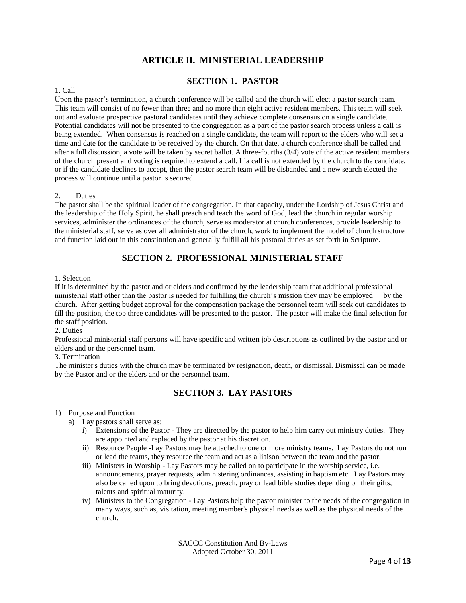# **ARTICLE II. MINISTERIAL LEADERSHIP**

# **SECTION 1. PASTOR**

#### 1. Call

Upon the pastor's termination, a church conference will be called and the church will elect a pastor search team. This team will consist of no fewer than three and no more than eight active resident members. This team will seek out and evaluate prospective pastoral candidates until they achieve complete consensus on a single candidate. Potential candidates will not be presented to the congregation as a part of the pastor search process unless a call is being extended. When consensus is reached on a single candidate, the team will report to the elders who will set a time and date for the candidate to be received by the church. On that date, a church conference shall be called and after a full discussion, a vote will be taken by secret ballot. A three-fourths (3/4) vote of the active resident members of the church present and voting is required to extend a call. If a call is not extended by the church to the candidate, or if the candidate declines to accept, then the pastor search team will be disbanded and a new search elected the process will continue until a pastor is secured.

#### 2. Duties

The pastor shall be the spiritual leader of the congregation. In that capacity, under the Lordship of Jesus Christ and the leadership of the Holy Spirit, he shall preach and teach the word of God, lead the church in regular worship services, administer the ordinances of the church, serve as moderator at church conferences, provide leadership to the ministerial staff, serve as over all administrator of the church, work to implement the model of church structure and function laid out in this constitution and generally fulfill all his pastoral duties as set forth in Scripture.

# **SECTION 2. PROFESSIONAL MINISTERIAL STAFF**

#### 1. Selection

If it is determined by the pastor and or elders and confirmed by the leadership team that additional professional ministerial staff other than the pastor is needed for fulfilling the church's mission they may be employed by the church. After getting budget approval for the compensation package the personnel team will seek out candidates to fill the position, the top three candidates will be presented to the pastor. The pastor will make the final selection for the staff position.

2. Duties

Professional ministerial staff persons will have specific and written job descriptions as outlined by the pastor and or elders and or the personnel team.

3. Termination

The minister's duties with the church may be terminated by resignation, death, or dismissal. Dismissal can be made by the Pastor and or the elders and or the personnel team.

# **SECTION 3. LAY PASTORS**

1) Purpose and Function

- a) Lay pastors shall serve as:
	- i) Extensions of the Pastor They are directed by the pastor to help him carry out ministry duties. They are appointed and replaced by the pastor at his discretion.
	- ii) Resource People -Lay Pastors may be attached to one or more ministry teams. Lay Pastors do not run or lead the teams, they resource the team and act as a liaison between the team and the pastor.
	- iii) Ministers in Worship Lay Pastors may be called on to participate in the worship service, i.e. announcements, prayer requests, administering ordinances, assisting in baptism etc. Lay Pastors may also be called upon to bring devotions, preach, pray or lead bible studies depending on their gifts, talents and spiritual maturity.
	- iv) Ministers to the Congregation Lay Pastors help the pastor minister to the needs of the congregation in many ways, such as, visitation, meeting member's physical needs as well as the physical needs of the church.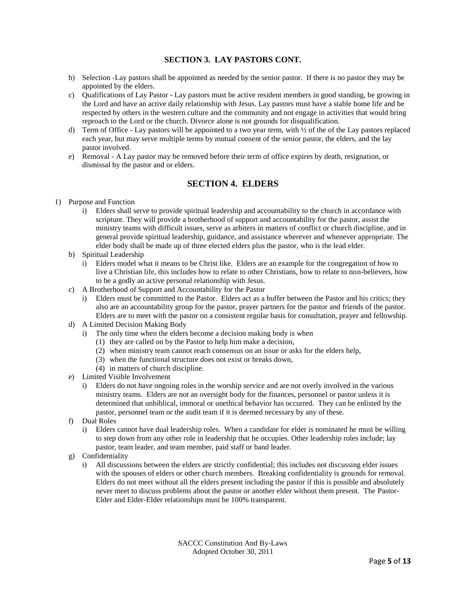## **SECTION 3. LAY PASTORS CONT.**

- b) Selection -Lay pastors shall be appointed as needed by the senior pastor. If there is no pastor they may be appointed by the elders.
- c) Qualifications of Lay Pastor Lay pastors must be active resident members in good standing, be growing in the Lord and have an active daily relationship with Jesus. Lay pastors must have a stable home life and be respected by others in the western culture and the community and not engage in activities that would bring reproach to the Lord or the church. Divorce alone is not grounds for disqualification.
- d) Term of Office Lay pastors will be appointed to a two year term, with  $\frac{1}{2}$  of the of the Lay pastors replaced each year, but may serve multiple terms by mutual consent of the senior pastor, the elders, and the lay pastor involved.
- e) Removal A Lay pastor may be removed before their term of office expires by death, resignation, or dismissal by the pastor and or elders.

### **SECTION 4. ELDERS**

- 1) Purpose and Function
	- i) Elders shall serve to provide spiritual leadership and accountability to the church in accordance with scripture. They will provide a brotherhood of support and accountability for the pastor, assist the ministry teams with difficult issues, serve as arbiters in matters of conflict or church discipline, and in general provide spiritual leadership, guidance, and assistance wherever and whenever appropriate. The elder body shall be made up of three elected elders plus the pastor, who is the lead elder.
	- b) Spiritual Leadership
		- i) Elders model what it means to be Christ like. Elders are an example for the congregation of how to live a Christian life, this includes how to relate to other Christians, how to relate to non-believers, how to be a godly an active personal relationship with Jesus.
	- c) A Brotherhood of Support and Accountability for the Pastor
		- i) Elders must be committed to the Pastor. Elders act as a buffer between the Pastor and his critics; they also are an accountability group for the pastor, prayer partners for the pastor and friends of the pastor. Elders are to meet with the pastor on a consistent regular basis for consultation, prayer and fellowship.
	- d) A Limited Decision Making Body
		- i) The only time when the elders become a decision making body is when
			- (1) they are called on by the Pastor to help him make a decision,
			- (2) when ministry team cannot reach consensus on an issue or asks for the elders help,
			- (3) when the functional structure does not exist or breaks down,
			- (4) in matters of church discipline.
	- e) Limited Visible Involvement
		- i) Elders do not have ongoing roles in the worship service and are not overly involved in the various ministry teams. Elders are not an oversight body for the finances, personnel or pastor unless it is determined that unbiblical, immoral or unethical behavior has occurred. They can be enlisted by the pastor, personnel team or the audit team if it is deemed necessary by any of these.
	- f) Dual Roles
		- i) Elders cannot have dual leadership roles. When a candidate for elder is nominated he must be willing to step down from any other role in leadership that he occupies. Other leadership roles include; lay pastor, team leader, and team member, paid staff or band leader.
	- g) Confidentiality
		- i) All discussions between the elders are strictly confidential; this includes not discussing elder issues with the spouses of elders or other church members. Breaking confidentiality is grounds for removal. Elders do not meet without all the elders present including the pastor if this is possible and absolutely never meet to discuss problems about the pastor or another elder without them present. The Pastor-Elder and Elder-Elder relationships must be 100% transparent.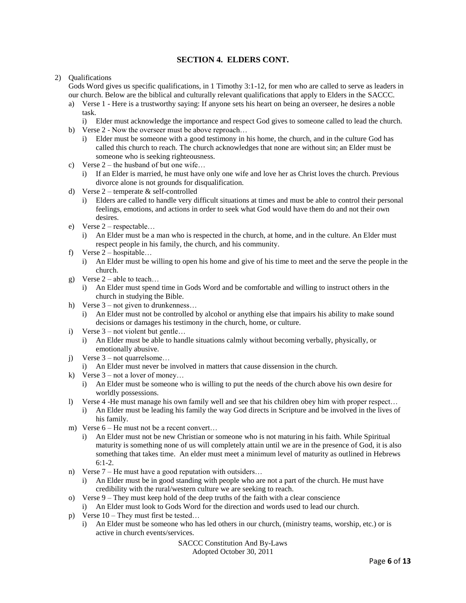### **SECTION 4. ELDERS CONT.**

#### 2) Qualifications

Gods Word gives us specific qualifications, in 1 Timothy 3:1-12, for men who are called to serve as leaders in our church. Below are the biblical and culturally relevant qualifications that apply to Elders in the SACCC.

- a) Verse 1 Here is a trustworthy saying: If anyone sets his heart on being an overseer, he desires a noble task.
	- i) Elder must acknowledge the importance and respect God gives to someone called to lead the church.
- b) Verse 2 Now the overseer must be above reproach...
	- i) Elder must be someone with a good testimony in his home, the church, and in the culture God has called this church to reach. The church acknowledges that none are without sin; an Elder must be someone who is seeking righteousness.
- c) Verse 2 the husband of but one wife…
	- i) If an Elder is married, he must have only one wife and love her as Christ loves the church. Previous divorce alone is not grounds for disqualification.
- d) Verse 2 temperate & self-controlled
	- i) Elders are called to handle very difficult situations at times and must be able to control their personal feelings, emotions, and actions in order to seek what God would have them do and not their own desires.
- e) Verse 2 respectable…
	- i) An Elder must be a man who is respected in the church, at home, and in the culture. An Elder must respect people in his family, the church, and his community.
- f) Verse 2 hospitable…
	- i) An Elder must be willing to open his home and give of his time to meet and the serve the people in the church.
- g) Verse  $2$  able to teach...
	- i) An Elder must spend time in Gods Word and be comfortable and willing to instruct others in the church in studying the Bible.
- h) Verse  $3 not$  given to drunkenness...
	- i) An Elder must not be controlled by alcohol or anything else that impairs his ability to make sound decisions or damages his testimony in the church, home, or culture.
- i) Verse 3 not violent but gentle…
	- i) An Elder must be able to handle situations calmly without becoming verbally, physically, or emotionally abusive.
- j) Verse 3 not quarrelsome…
	- i) An Elder must never be involved in matters that cause dissension in the church.
- k) Verse  $3 not$  a lover of money...
	- i) An Elder must be someone who is willing to put the needs of the church above his own desire for worldly possessions.
- l) Verse 4 -He must manage his own family well and see that his children obey him with proper respect… i) An Elder must be leading his family the way God directs in Scripture and be involved in the lives of his family.
- m) Verse  $6$  He must not be a recent convert...
	- i) An Elder must not be new Christian or someone who is not maturing in his faith. While Spiritual maturity is something none of us will completely attain until we are in the presence of God, it is also something that takes time. An elder must meet a minimum level of maturity as outlined in Hebrews 6:1-2.
- n) Verse 7 He must have a good reputation with outsiders…
	- i) An Elder must be in good standing with people who are not a part of the church. He must have credibility with the rural/western culture we are seeking to reach.
- o) Verse 9 They must keep hold of the deep truths of the faith with a clear conscience
	- i) An Elder must look to Gods Word for the direction and words used to lead our church.
- p) Verse 10 They must first be tested…
	- i) An Elder must be someone who has led others in our church, (ministry teams, worship, etc.) or is active in church events/services.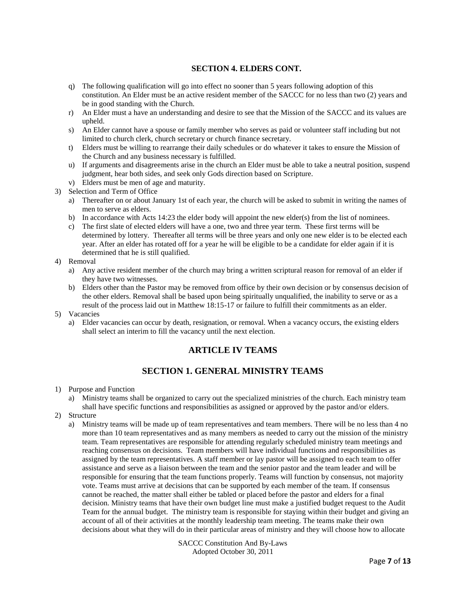### **SECTION 4. ELDERS CONT.**

- q) The following qualification will go into effect no sooner than 5 years following adoption of this constitution. An Elder must be an active resident member of the SACCC for no less than two (2) years and be in good standing with the Church.
- r) An Elder must a have an understanding and desire to see that the Mission of the SACCC and its values are upheld.
- s) An Elder cannot have a spouse or family member who serves as paid or volunteer staff including but not limited to church clerk, church secretary or church finance secretary.
- t) Elders must be willing to rearrange their daily schedules or do whatever it takes to ensure the Mission of the Church and any business necessary is fulfilled.
- u) If arguments and disagreements arise in the church an Elder must be able to take a neutral position, suspend judgment, hear both sides, and seek only Gods direction based on Scripture.
- v) Elders must be men of age and maturity.
- 3) Selection and Term of Office
	- a) Thereafter on or about January 1st of each year, the church will be asked to submit in writing the names of men to serve as elders.
	- b) In accordance with Acts 14:23 the elder body will appoint the new elder(s) from the list of nominees.
	- c) The first slate of elected elders will have a one, two and three year term. These first terms will be determined by lottery. Thereafter all terms will be three years and only one new elder is to be elected each year. After an elder has rotated off for a year he will be eligible to be a candidate for elder again if it is determined that he is still qualified.

#### 4) Removal

- a) Any active resident member of the church may bring a written scriptural reason for removal of an elder if they have two witnesses.
- b) Elders other than the Pastor may be removed from office by their own decision or by consensus decision of the other elders. Removal shall be based upon being spiritually unqualified, the inability to serve or as a result of the process laid out in Matthew 18:15-17 or failure to fulfill their commitments as an elder.

#### 5) Vacancies

a) Elder vacancies can occur by death, resignation, or removal. When a vacancy occurs, the existing elders shall select an interim to fill the vacancy until the next election.

## **ARTICLE IV TEAMS**

## **SECTION 1. GENERAL MINISTRY TEAMS**

- 1) Purpose and Function
	- a) Ministry teams shall be organized to carry out the specialized ministries of the church. Each ministry team shall have specific functions and responsibilities as assigned or approved by the pastor and/or elders.
- 2) Structure
	- a) Ministry teams will be made up of team representatives and team members. There will be no less than 4 no more than 10 team representatives and as many members as needed to carry out the mission of the ministry team. Team representatives are responsible for attending regularly scheduled ministry team meetings and reaching consensus on decisions. Team members will have individual functions and responsibilities as assigned by the team representatives. A staff member or lay pastor will be assigned to each team to offer assistance and serve as a liaison between the team and the senior pastor and the team leader and will be responsible for ensuring that the team functions properly. Teams will function by consensus, not majority vote. Teams must arrive at decisions that can be supported by each member of the team. If consensus cannot be reached, the matter shall either be tabled or placed before the pastor and elders for a final decision. Ministry teams that have their own budget line must make a justified budget request to the Audit Team for the annual budget. The ministry team is responsible for staying within their budget and giving an account of all of their activities at the monthly leadership team meeting. The teams make their own decisions about what they will do in their particular areas of ministry and they will choose how to allocate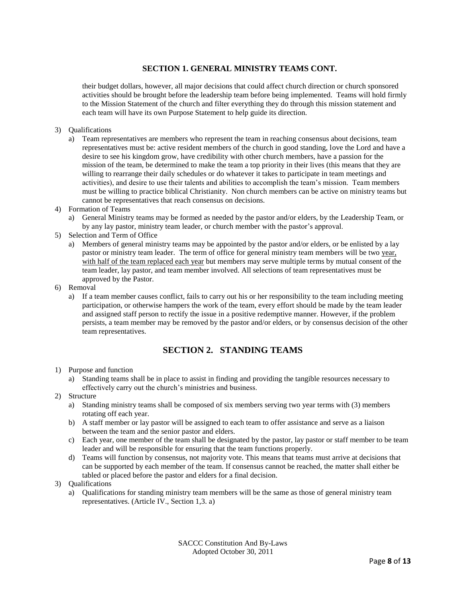### **SECTION 1. GENERAL MINISTRY TEAMS CONT.**

their budget dollars, however, all major decisions that could affect church direction or church sponsored activities should be brought before the leadership team before being implemented. Teams will hold firmly to the Mission Statement of the church and filter everything they do through this mission statement and each team will have its own Purpose Statement to help guide its direction.

- 3) Qualifications
	- a) Team representatives are members who represent the team in reaching consensus about decisions, team representatives must be: active resident members of the church in good standing, love the Lord and have a desire to see his kingdom grow, have credibility with other church members, have a passion for the mission of the team, be determined to make the team a top priority in their lives (this means that they are willing to rearrange their daily schedules or do whatever it takes to participate in team meetings and activities), and desire to use their talents and abilities to accomplish the team's mission. Team members must be willing to practice biblical Christianity. Non church members can be active on ministry teams but cannot be representatives that reach consensus on decisions.
- 4) Formation of Teams
	- a) General Ministry teams may be formed as needed by the pastor and/or elders, by the Leadership Team, or by any lay pastor, ministry team leader, or church member with the pastor's approval.
- 5) Selection and Term of Office
	- a) Members of general ministry teams may be appointed by the pastor and/or elders, or be enlisted by a lay pastor or ministry team leader. The term of office for general ministry team members will be two year, with half of the team replaced each year but members may serve multiple terms by mutual consent of the team leader, lay pastor, and team member involved. All selections of team representatives must be approved by the Pastor.
- 6) Removal
	- a) If a team member causes conflict, fails to carry out his or her responsibility to the team including meeting participation, or otherwise hampers the work of the team, every effort should be made by the team leader and assigned staff person to rectify the issue in a positive redemptive manner. However, if the problem persists, a team member may be removed by the pastor and/or elders, or by consensus decision of the other team representatives.

## **SECTION 2. STANDING TEAMS**

- 1) Purpose and function
	- a) Standing teams shall be in place to assist in finding and providing the tangible resources necessary to effectively carry out the church's ministries and business.
- 2) Structure
	- a) Standing ministry teams shall be composed of six members serving two year terms with (3) members rotating off each year.
	- b) A staff member or lay pastor will be assigned to each team to offer assistance and serve as a liaison between the team and the senior pastor and elders.
	- c) Each year, one member of the team shall be designated by the pastor, lay pastor or staff member to be team leader and will be responsible for ensuring that the team functions properly.
	- d) Teams will function by consensus, not majority vote. This means that teams must arrive at decisions that can be supported by each member of the team. If consensus cannot be reached, the matter shall either be tabled or placed before the pastor and elders for a final decision.
- 3) Qualifications
	- a) Qualifications for standing ministry team members will be the same as those of general ministry team representatives. (Article IV., Section 1,3. a)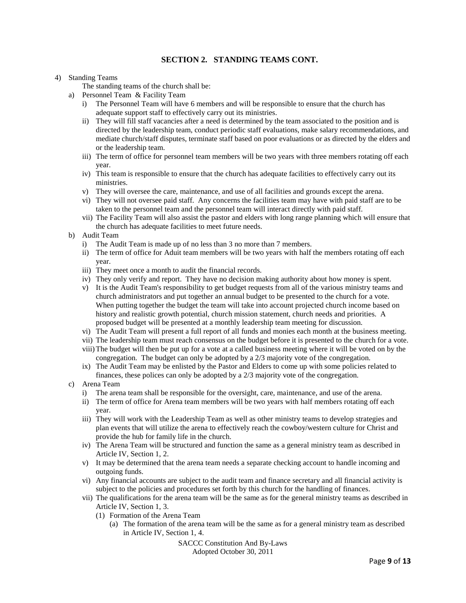### **SECTION 2. STANDING TEAMS CONT.**

#### 4) Standing Teams

The standing teams of the church shall be:

- a) Personnel Team & Facility Team
	- i) The Personnel Team will have 6 members and will be responsible to ensure that the church has adequate support staff to effectively carry out its ministries.
	- ii) They will fill staff vacancies after a need is determined by the team associated to the position and is directed by the leadership team, conduct periodic staff evaluations, make salary recommendations, and mediate church/staff disputes, terminate staff based on poor evaluations or as directed by the elders and or the leadership team.
	- iii) The term of office for personnel team members will be two years with three members rotating off each year.
	- iv) This team is responsible to ensure that the church has adequate facilities to effectively carry out its ministries.
	- v) They will oversee the care, maintenance, and use of all facilities and grounds except the arena.
	- vi) They will not oversee paid staff. Any concerns the facilities team may have with paid staff are to be taken to the personnel team and the personnel team will interact directly with paid staff.
	- vii) The Facility Team will also assist the pastor and elders with long range planning which will ensure that the church has adequate facilities to meet future needs.
- b) Audit Team
	- i) The Audit Team is made up of no less than 3 no more than 7 members.
	- ii) The term of office for Aduit team members will be two years with half the members rotating off each year.
	- iii) They meet once a month to audit the financial records.
	- iv) They only verify and report. They have no decision making authority about how money is spent.
	- v) It is the Audit Team's responsibility to get budget requests from all of the various ministry teams and church administrators and put together an annual budget to be presented to the church for a vote. When putting together the budget the team will take into account projected church income based on history and realistic growth potential, church mission statement, church needs and priorities. A proposed budget will be presented at a monthly leadership team meeting for discussion.
	- vi) The Audit Team will present a full report of all funds and monies each month at the business meeting.
	- vii) The leadership team must reach consensus on the budget before it is presented to the church for a vote.
	- viii)The budget will then be put up for a vote at a called business meeting where it will be voted on by the congregation. The budget can only be adopted by a 2/3 majority vote of the congregation.
	- ix) The Audit Team may be enlisted by the Pastor and Elders to come up with some policies related to finances, these polices can only be adopted by a 2/3 majority vote of the congregation.
- c) Arena Team
	- i) The arena team shall be responsible for the oversight, care, maintenance, and use of the arena.
	- ii) The term of office for Arena team members will be two years with half members rotating off each year.
	- iii) They will work with the Leadership Team as well as other ministry teams to develop strategies and plan events that will utilize the arena to effectively reach the cowboy/western culture for Christ and provide the hub for family life in the church.
	- iv) The Arena Team will be structured and function the same as a general ministry team as described in Article IV, Section 1, 2.
	- v) It may be determined that the arena team needs a separate checking account to handle incoming and outgoing funds.
	- vi) Any financial accounts are subject to the audit team and finance secretary and all financial activity is subject to the policies and procedures set forth by this church for the handling of finances.
	- vii) The qualifications for the arena team will be the same as for the general ministry teams as described in Article IV, Section 1, 3.
		- (1) Formation of the Arena Team
			- (a) The formation of the arena team will be the same as for a general ministry team as described in Article IV, Section 1, 4.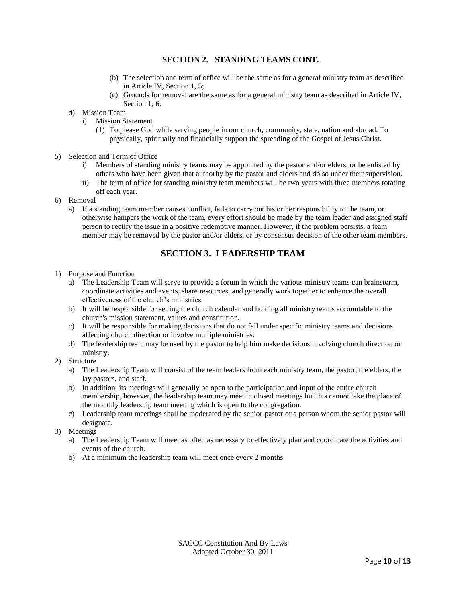### **SECTION 2. STANDING TEAMS CONT.**

- (b) The selection and term of office will be the same as for a general ministry team as described in Article IV, Section 1, 5;
- (c) Grounds for removal are the same as for a general ministry team as described in Article IV, Section 1, 6.
- d) Mission Team
	- i) Mission Statement
		- (1) To please God while serving people in our church, community, state, nation and abroad. To physically, spiritually and financially support the spreading of the Gospel of Jesus Christ.
- 5) Selection and Term of Office
	- i) Members of standing ministry teams may be appointed by the pastor and/or elders, or be enlisted by others who have been given that authority by the pastor and elders and do so under their supervision.
	- ii) The term of office for standing ministry team members will be two years with three members rotating off each year.
- 6) Removal
	- a) If a standing team member causes conflict, fails to carry out his or her responsibility to the team, or otherwise hampers the work of the team, every effort should be made by the team leader and assigned staff person to rectify the issue in a positive redemptive manner. However, if the problem persists, a team member may be removed by the pastor and/or elders, or by consensus decision of the other team members.

## **SECTION 3. LEADERSHIP TEAM**

- 1) Purpose and Function
	- a) The Leadership Team will serve to provide a forum in which the various ministry teams can brainstorm, coordinate activities and events, share resources, and generally work together to enhance the overall effectiveness of the church's ministries.
	- b) It will be responsible for setting the church calendar and holding all ministry teams accountable to the church's mission statement, values and constitution.
	- c) It will be responsible for making decisions that do not fall under specific ministry teams and decisions affecting church direction or involve multiple ministries.
	- d) The leadership team may be used by the pastor to help him make decisions involving church direction or ministry.
- 2) Structure
	- a) The Leadership Team will consist of the team leaders from each ministry team, the pastor, the elders, the lay pastors, and staff.
	- b) In addition, its meetings will generally be open to the participation and input of the entire church membership, however, the leadership team may meet in closed meetings but this cannot take the place of the monthly leadership team meeting which is open to the congregation.
	- c) Leadership team meetings shall be moderated by the senior pastor or a person whom the senior pastor will designate.
- 3) Meetings
	- a) The Leadership Team will meet as often as necessary to effectively plan and coordinate the activities and events of the church.
	- b) At a minimum the leadership team will meet once every 2 months.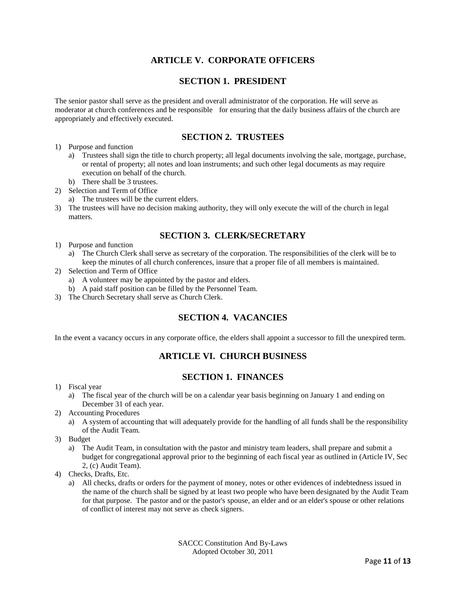# **ARTICLE V. CORPORATE OFFICERS**

## **SECTION 1. PRESIDENT**

The senior pastor shall serve as the president and overall administrator of the corporation. He will serve as moderator at church conferences and be responsible for ensuring that the daily business affairs of the church are appropriately and effectively executed.

## **SECTION 2. TRUSTEES**

- 1) Purpose and function
	- a) Trustees shall sign the title to church property; all legal documents involving the sale, mortgage, purchase, or rental of property; all notes and loan instruments; and such other legal documents as may require execution on behalf of the church.
	- b) There shall be 3 trustees.
- 2) Selection and Term of Office
	- a) The trustees will be the current elders.
- 3) The trustees will have no decision making authority, they will only execute the will of the church in legal matters.

## **SECTION 3. CLERK/SECRETARY**

- 1) Purpose and function
	- a) The Church Clerk shall serve as secretary of the corporation. The responsibilities of the clerk will be to keep the minutes of all church conferences, insure that a proper file of all members is maintained.
- 2) Selection and Term of Office
	- a) A volunteer may be appointed by the pastor and elders.
	- b) A paid staff position can be filled by the Personnel Team.
- 3) The Church Secretary shall serve as Church Clerk.

## **SECTION 4. VACANCIES**

In the event a vacancy occurs in any corporate office, the elders shall appoint a successor to fill the unexpired term.

# **ARTICLE VI. CHURCH BUSINESS**

## **SECTION 1. FINANCES**

- 1) Fiscal year
	- a) The fiscal year of the church will be on a calendar year basis beginning on January 1 and ending on December 31 of each year.
- 2) Accounting Procedures
	- a) A system of accounting that will adequately provide for the handling of all funds shall be the responsibility of the Audit Team.
- 3) Budget
	- a) The Audit Team, in consultation with the pastor and ministry team leaders, shall prepare and submit a budget for congregational approval prior to the beginning of each fiscal year as outlined in (Article IV, Sec 2, (c) Audit Team).
- 4) Checks, Drafts, Etc.
	- a) All checks, drafts or orders for the payment of money, notes or other evidences of indebtedness issued in the name of the church shall be signed by at least two people who have been designated by the Audit Team for that purpose. The pastor and or the pastor's spouse, an elder and or an elder's spouse or other relations of conflict of interest may not serve as check signers.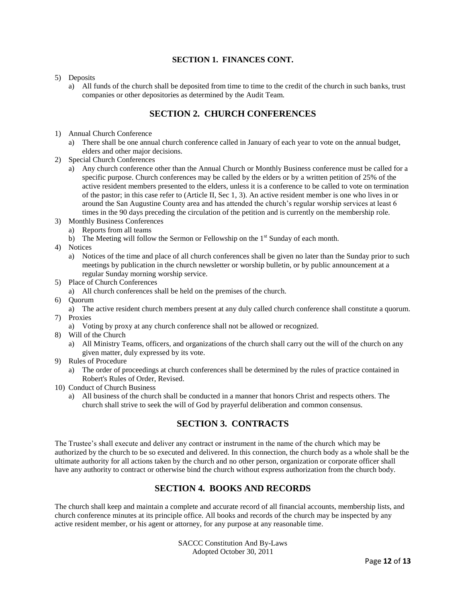## **SECTION 1. FINANCES CONT.**

#### 5) Deposits

a) All funds of the church shall be deposited from time to time to the credit of the church in such banks, trust companies or other depositories as determined by the Audit Team.

# **SECTION 2. CHURCH CONFERENCES**

- 1) Annual Church Conference
	- a) There shall be one annual church conference called in January of each year to vote on the annual budget, elders and other major decisions.
- 2) Special Church Conferences
	- a) Any church conference other than the Annual Church or Monthly Business conference must be called for a specific purpose. Church conferences may be called by the elders or by a written petition of 25% of the active resident members presented to the elders, unless it is a conference to be called to vote on termination of the pastor; in this case refer to (Article II, Sec 1, 3). An active resident member is one who lives in or around the San Augustine County area and has attended the church's regular worship services at least 6 times in the 90 days preceding the circulation of the petition and is currently on the membership role.
- 3) Monthly Business Conferences
	- a) Reports from all teams
	- b) The Meeting will follow the Sermon or Fellowship on the  $1<sup>st</sup>$  Sunday of each month.
- 4) Notices
	- a) Notices of the time and place of all church conferences shall be given no later than the Sunday prior to such meetings by publication in the church newsletter or worship bulletin, or by public announcement at a regular Sunday morning worship service.
- 5) Place of Church Conferences
	- a) All church conferences shall be held on the premises of the church.
- 6) Quorum
	- a) The active resident church members present at any duly called church conference shall constitute a quorum.
- 7) Proxies
	- a) Voting by proxy at any church conference shall not be allowed or recognized.
- 8) Will of the Church
	- a) All Ministry Teams, officers, and organizations of the church shall carry out the will of the church on any given matter, duly expressed by its vote.
- 9) Rules of Procedure
	- a) The order of proceedings at church conferences shall be determined by the rules of practice contained in Robert's Rules of Order, Revised.
- 10) Conduct of Church Business
	- a) All business of the church shall be conducted in a manner that honors Christ and respects others. The church shall strive to seek the will of God by prayerful deliberation and common consensus.

# **SECTION 3. CONTRACTS**

The Trustee's shall execute and deliver any contract or instrument in the name of the church which may be authorized by the church to be so executed and delivered. In this connection, the church body as a whole shall be the ultimate authority for all actions taken by the church and no other person, organization or corporate officer shall have any authority to contract or otherwise bind the church without express authorization from the church body.

## **SECTION 4. BOOKS AND RECORDS**

The church shall keep and maintain a complete and accurate record of all financial accounts, membership lists, and church conference minutes at its principle office. All books and records of the church may be inspected by any active resident member, or his agent or attorney, for any purpose at any reasonable time.